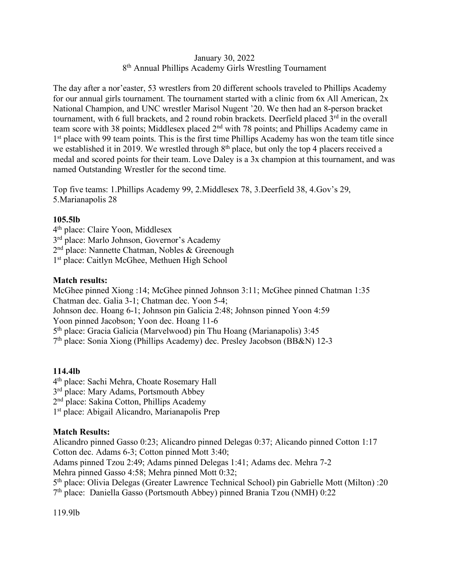#### January 30, 2022 8th Annual Phillips Academy Girls Wrestling Tournament

The day after a nor'easter, 53 wrestlers from 20 different schools traveled to Phillips Academy for our annual girls tournament. The tournament started with a clinic from 6x All American, 2x National Champion, and UNC wrestler Marisol Nugent '20. We then had an 8-person bracket tournament, with 6 full brackets, and 2 round robin brackets. Deerfield placed 3<sup>rd</sup> in the overall team score with 38 points; Middlesex placed 2nd with 78 points; and Phillips Academy came in 1<sup>st</sup> place with 99 team points. This is the first time Phillips Academy has won the team title since we established it in 2019. We wrestled through 8<sup>th</sup> place, but only the top 4 placers received a medal and scored points for their team. Love Daley is a 3x champion at this tournament, and was named Outstanding Wrestler for the second time.

Top five teams: 1.Phillips Academy 99, 2.Middlesex 78, 3.Deerfield 38, 4.Gov's 29, 5.Marianapolis 28

#### **105.5lb**

4th place: Claire Yoon, Middlesex 3rd place: Marlo Johnson, Governor's Academy 2nd place: Nannette Chatman, Nobles & Greenough 1st place: Caitlyn McGhee, Methuen High School

# **Match results:**

McGhee pinned Xiong :14; McGhee pinned Johnson 3:11; McGhee pinned Chatman 1:35 Chatman dec. Galia 3-1; Chatman dec. Yoon 5-4; Johnson dec. Hoang 6-1; Johnson pin Galicia 2:48; Johnson pinned Yoon 4:59 Yoon pinned Jacobson; Yoon dec. Hoang 11-6 5th place: Gracia Galicia (Marvelwood) pin Thu Hoang (Marianapolis) 3:45 7th place: Sonia Xiong (Phillips Academy) dec. Presley Jacobson (BB&N) 12-3

# **114.4lb**

4th place: Sachi Mehra, Choate Rosemary Hall 3<sup>rd</sup> place: Mary Adams, Portsmouth Abbey 2nd place: Sakina Cotton, Phillips Academy 1st place: Abigail Alicandro, Marianapolis Prep

# **Match Results:**

Alicandro pinned Gasso 0:23; Alicandro pinned Delegas 0:37; Alicando pinned Cotton 1:17 Cotton dec. Adams 6-3; Cotton pinned Mott 3:40; Adams pinned Tzou 2:49; Adams pinned Delegas 1:41; Adams dec. Mehra 7-2 Mehra pinned Gasso 4:58; Mehra pinned Mott 0:32; 5th place: Olivia Delegas (Greater Lawrence Technical School) pin Gabrielle Mott (Milton) :20 7th place: Daniella Gasso (Portsmouth Abbey) pinned Brania Tzou (NMH) 0:22

119.9lb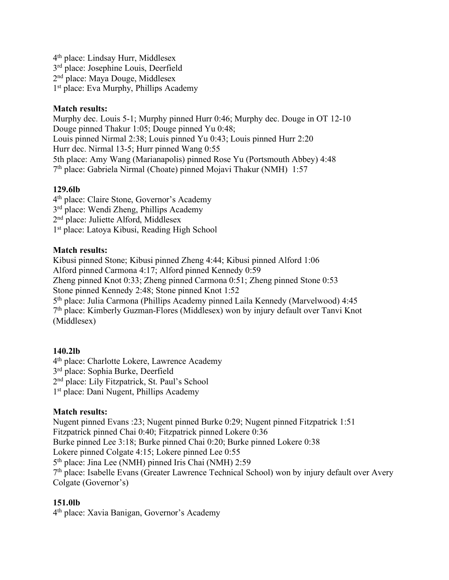4th place: Lindsay Hurr, Middlesex 3rd place: Josephine Louis, Deerfield 2nd place: Maya Douge, Middlesex 1st place: Eva Murphy, Phillips Academy

# **Match results:**

Murphy dec. Louis 5-1; Murphy pinned Hurr 0:46; Murphy dec. Douge in OT 12-10 Douge pinned Thakur 1:05; Douge pinned Yu 0:48; Louis pinned Nirmal 2:38; Louis pinned Yu 0:43; Louis pinned Hurr 2:20 Hurr dec. Nirmal 13-5; Hurr pinned Wang 0:55 5th place: Amy Wang (Marianapolis) pinned Rose Yu (Portsmouth Abbey) 4:48 7th place: Gabriela Nirmal (Choate) pinned Mojavi Thakur (NMH) 1:57

# **129.6lb**

4th place: Claire Stone, Governor's Academy 3rd place: Wendi Zheng, Phillips Academy 2nd place: Juliette Alford, Middlesex 1st place: Latoya Kibusi, Reading High School

# **Match results:**

Kibusi pinned Stone; Kibusi pinned Zheng 4:44; Kibusi pinned Alford 1:06 Alford pinned Carmona 4:17; Alford pinned Kennedy 0:59 Zheng pinned Knot 0:33; Zheng pinned Carmona 0:51; Zheng pinned Stone 0:53 Stone pinned Kennedy 2:48; Stone pinned Knot 1:52 5th place: Julia Carmona (Phillips Academy pinned Laila Kennedy (Marvelwood) 4:45 7th place: Kimberly Guzman-Flores (Middlesex) won by injury default over Tanvi Knot (Middlesex)

# **140.2lb**

4th place: Charlotte Lokere, Lawrence Academy 3rd place: Sophia Burke, Deerfield 2nd place: Lily Fitzpatrick, St. Paul's School 1st place: Dani Nugent, Phillips Academy

# **Match results:**

Nugent pinned Evans :23; Nugent pinned Burke 0:29; Nugent pinned Fitzpatrick 1:51 Fitzpatrick pinned Chai 0:40; Fitzpatrick pinned Lokere 0:36 Burke pinned Lee 3:18; Burke pinned Chai 0:20; Burke pinned Lokere 0:38 Lokere pinned Colgate 4:15; Lokere pinned Lee 0:55 5th place: Jina Lee (NMH) pinned Iris Chai (NMH) 2:59 7<sup>th</sup> place: Isabelle Evans (Greater Lawrence Technical School) won by injury default over Avery Colgate (Governor's)

# **151.0lb**

4th place: Xavia Banigan, Governor's Academy